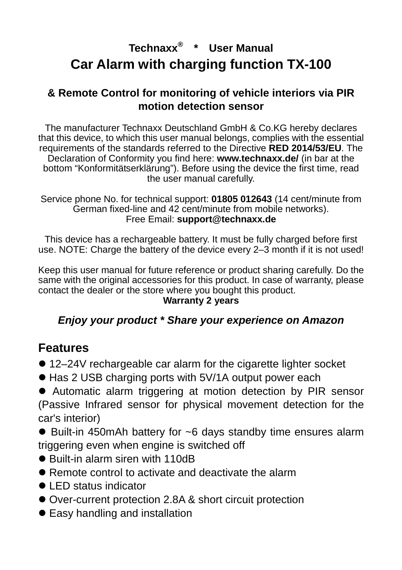## **Technaxx® \* User Manual Car Alarm with charging function TX-100**

#### **& Remote Control for monitoring of vehicle interiors via PIR motion detection sensor**

The manufacturer Technaxx Deutschland GmbH & Co.KG hereby declares that this device, to which this user manual belongs, complies with the essential requirements of the standards referred to the Directive **RED 2014/53/EU**. The Declaration of Conformity you find here: **www.technaxx.de/** (in bar at the bottom "Konformitätserklärung"). Before using the device the first time, read the user manual carefully.

Service phone No. for technical support: **01805 012643** (14 cent/minute from German fixed-line and 42 cent/minute from mobile networks). Free Email: **support@technaxx.de** 

This device has a rechargeable battery. It must be fully charged before first use. NOTE: Charge the battery of the device every 2–3 month if it is not used!

Keep this user manual for future reference or product sharing carefully. Do the same with the original accessories for this product. In case of warranty, please contact the dealer or the store where you bought this product.

#### **Warranty 2 years**

#### **Enjoy your product \* Share your experience on Amazon**

#### **Features**

- 12–24V rechargeable car alarm for the cigarette lighter socket
- Has 2 USB charging ports with 5V/1A output power each

 Automatic alarm triggering at motion detection by PIR sensor (Passive Infrared sensor for physical movement detection for the car's interior)

● Built-in 450mAh battery for ~6 days standby time ensures alarm triggering even when engine is switched off

- Built-in alarm siren with 110dB
- Remote control to activate and deactivate the alarm
- LED status indicator
- Over-current protection 2.8A & short circuit protection
- Easy handling and installation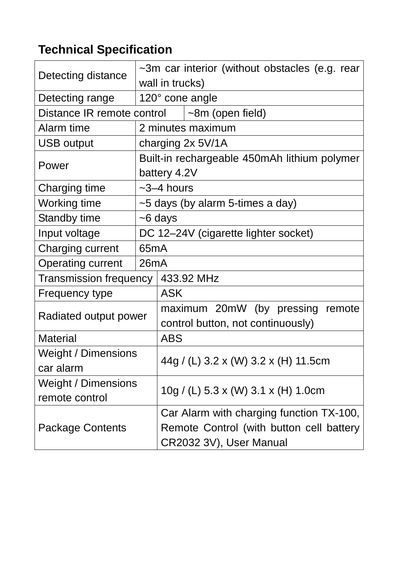# **Technical Specification**

|                                     |                                                              | $\sim$ 3m car interior (without obstacles (e.g. rear                |  |  |  |  |  |
|-------------------------------------|--------------------------------------------------------------|---------------------------------------------------------------------|--|--|--|--|--|
| Detecting distance                  | wall in trucks)                                              |                                                                     |  |  |  |  |  |
| Detecting range                     | 120° cone angle                                              |                                                                     |  |  |  |  |  |
| Distance IR remote control          |                                                              | $\sim$ 8m (open field)                                              |  |  |  |  |  |
| Alarm time                          |                                                              | 2 minutes maximum                                                   |  |  |  |  |  |
| <b>USB output</b>                   |                                                              | charging 2x 5V/1A                                                   |  |  |  |  |  |
| Power                               | Built-in rechargeable 450mAh lithium polymer<br>battery 4.2V |                                                                     |  |  |  |  |  |
| Charging time                       | $~2$ –4 hours                                                |                                                                     |  |  |  |  |  |
| Working time                        | $\sim$ 5 days (by alarm 5-times a day)                       |                                                                     |  |  |  |  |  |
| <b>Standby time</b>                 | $\sim$ 6 days                                                |                                                                     |  |  |  |  |  |
| Input voltage                       | DC 12-24V (cigarette lighter socket)                         |                                                                     |  |  |  |  |  |
| Charging current                    | 65 <sub>m</sub> A                                            |                                                                     |  |  |  |  |  |
| <b>Operating current</b>            | 26mA                                                         |                                                                     |  |  |  |  |  |
| Transmission frequency   433.92 MHz |                                                              |                                                                     |  |  |  |  |  |
| <b>Frequency type</b>               |                                                              | <b>ASK</b>                                                          |  |  |  |  |  |
| Radiated output power               |                                                              | maximum 20mW (by pressing<br>remote                                 |  |  |  |  |  |
|                                     |                                                              | control button, not continuously)                                   |  |  |  |  |  |
| <b>Material</b>                     |                                                              | <b>ABS</b>                                                          |  |  |  |  |  |
| Weight / Dimensions                 |                                                              | 44g / (L) 3.2 x (W) 3.2 x (H) 11.5cm                                |  |  |  |  |  |
| car alarm                           |                                                              |                                                                     |  |  |  |  |  |
| Weight / Dimensions                 |                                                              | 10g / (L) 5.3 x (W) 3.1 x (H) 1.0cm                                 |  |  |  |  |  |
| remote control                      |                                                              |                                                                     |  |  |  |  |  |
| <b>Package Contents</b>             |                                                              | Car Alarm with charging function TX-100,                            |  |  |  |  |  |
|                                     |                                                              | Remote Control (with button cell battery<br>CR2032 3V), User Manual |  |  |  |  |  |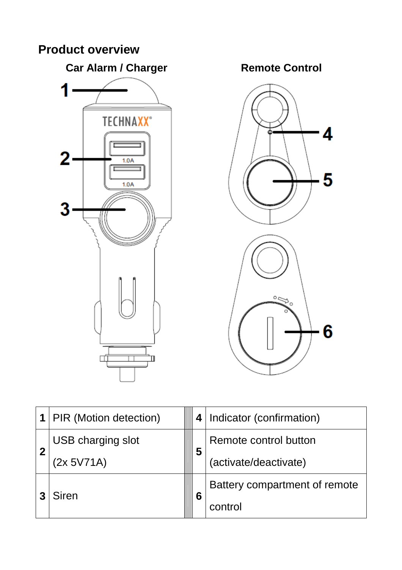## **Product overview**



|                  | <b>PIR (Motion detection)</b> |  |   | 4   Indicator (confirmation)  |
|------------------|-------------------------------|--|---|-------------------------------|
| $\boldsymbol{2}$ | USB charging slot             |  | 5 | Remote control button         |
|                  | (2x 5V71A)                    |  |   | (activate/deactivate)         |
|                  | Siren                         |  | 6 | Battery compartment of remote |
|                  |                               |  |   | control                       |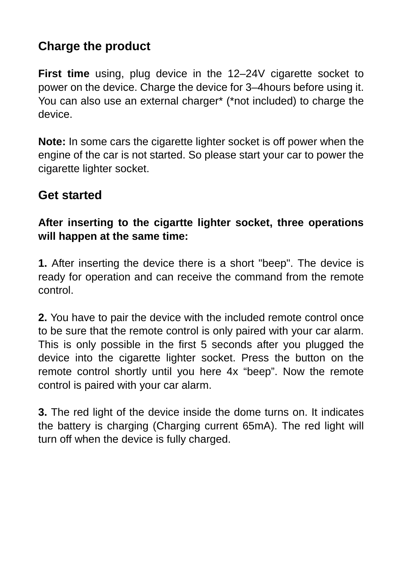## **Charge the product**

**First time** using, plug device in the 12–24V cigarette socket to power on the device. Charge the device for 3–4hours before using it. You can also use an external charger\* (\*not included) to charge the device.

**Note:** In some cars the cigarette lighter socket is off power when the engine of the car is not started. So please start your car to power the cigarette lighter socket.

### **Get started**

#### **After inserting to the cigartte lighter socket, three operations will happen at the same time:**

**1.** After inserting the device there is a short "beep". The device is ready for operation and can receive the command from the remote control.

**2.** You have to pair the device with the included remote control once to be sure that the remote control is only paired with your car alarm. This is only possible in the first 5 seconds after you plugged the device into the cigarette lighter socket. Press the button on the remote control shortly until you here 4x "beep". Now the remote control is paired with your car alarm.

**3.** The red light of the device inside the dome turns on. It indicates the battery is charging (Charging current 65mA). The red light will turn off when the device is fully charged.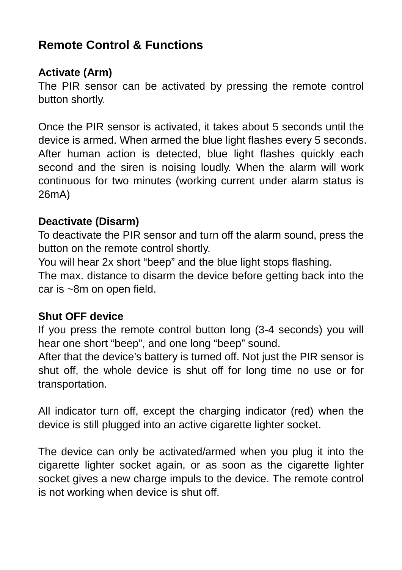## **Remote Control & Functions**

#### **Activate (Arm)**

The PIR sensor can be activated by pressing the remote control button shortly.

Once the PIR sensor is activated, it takes about 5 seconds until the device is armed. When armed the blue light flashes every 5 seconds. After human action is detected, blue light flashes quickly each second and the siren is noising loudly. When the alarm will work continuous for two minutes (working current under alarm status is 26mA)

#### **Deactivate (Disarm)**

To deactivate the PIR sensor and turn off the alarm sound, press the button on the remote control shortly.

You will hear 2x short "beep" and the blue light stops flashing.

The max. distance to disarm the device before getting back into the car is ~8m on open field.

#### **Shut OFF device**

If you press the remote control button long (3-4 seconds) you will hear one short "beep", and one long "beep" sound.

After that the device's battery is turned off. Not just the PIR sensor is shut off, the whole device is shut off for long time no use or for transportation.

All indicator turn off, except the charging indicator (red) when the device is still plugged into an active cigarette lighter socket.

The device can only be activated/armed when you plug it into the cigarette lighter socket again, or as soon as the cigarette lighter socket gives a new charge impuls to the device. The remote control is not working when device is shut off.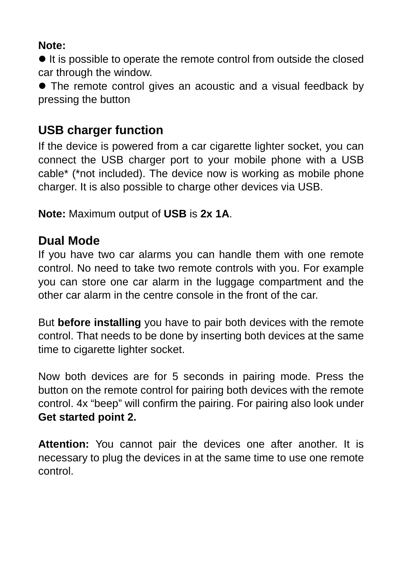#### **Note:**

 $\bullet$  It is possible to operate the remote control from outside the closed car through the window.

• The remote control gives an acoustic and a visual feedback by pressing the button

### **USB charger function**

If the device is powered from a car cigarette lighter socket, you can connect the USB charger port to your mobile phone with a USB cable\* (\*not included). The device now is working as mobile phone charger. It is also possible to charge other devices via USB.

**Note:** Maximum output of **USB** is **2x 1A**.

### **Dual Mode**

If you have two car alarms you can handle them with one remote control. No need to take two remote controls with you. For example you can store one car alarm in the luggage compartment and the other car alarm in the centre console in the front of the car.

But **before installing** you have to pair both devices with the remote control. That needs to be done by inserting both devices at the same time to cigarette lighter socket.

Now both devices are for 5 seconds in pairing mode. Press the button on the remote control for pairing both devices with the remote control. 4x "beep" will confirm the pairing. For pairing also look under **Get started point 2.** 

**Attention:** You cannot pair the devices one after another. It is necessary to plug the devices in at the same time to use one remote control.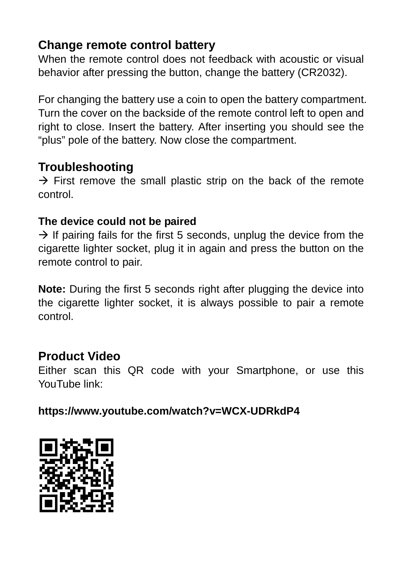### **Change remote control battery**

When the remote control does not feedback with acoustic or visual behavior after pressing the button, change the battery (CR2032).

For changing the battery use a coin to open the battery compartment. Turn the cover on the backside of the remote control left to open and right to close. Insert the battery. After inserting you should see the "plus" pole of the battery. Now close the compartment.

### **Troubleshooting**

 $\rightarrow$  First remove the small plastic strip on the back of the remote control.

#### **The device could not be paired**

 $\rightarrow$  If pairing fails for the first 5 seconds, unplug the device from the cigarette lighter socket, plug it in again and press the button on the remote control to pair.

**Note:** During the first 5 seconds right after plugging the device into the cigarette lighter socket, it is always possible to pair a remote control.

### **Product Video**

Either scan this QR code with your Smartphone, or use this YouTube link:

**https://www.youtube.com/watch?v=WCX-UDRkdP4**